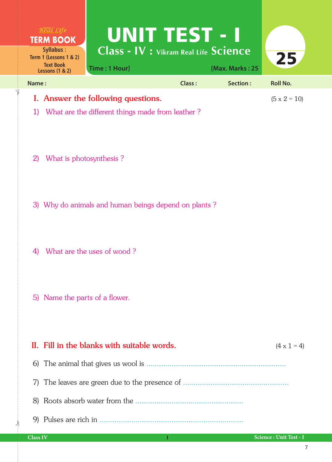| $R$ <i>eal</i> $Life$<br><b>TERM BOOK</b>                                                                                                                                                                          | <b>UNIT TEST - I</b> |                 |                        |
|--------------------------------------------------------------------------------------------------------------------------------------------------------------------------------------------------------------------|----------------------|-----------------|------------------------|
| $\overline{\text{Class}}$ - $\overline{\text{IV}}$ : Vikram Real Life $\overline{\text{Science}}$<br><b>Syllabus:</b><br>Term 1 (Lessons 1 & 2)<br><b>Text Book</b><br>Time: 1 Hour]<br><b>Lessons (1 &amp; 2)</b> |                      | [Max. Marks: 25 | 25                     |
| Name:                                                                                                                                                                                                              | <b>Class:</b>        | Section:        | <b>Roll No.</b>        |
| I. Answer the following questions.                                                                                                                                                                                 |                      |                 | $(5 \times 2 = 10)$    |
| What are the different things made from leather?<br>1)                                                                                                                                                             |                      |                 |                        |
| What is photosynthesis?<br>$\left( 2\right)$                                                                                                                                                                       |                      |                 |                        |
| 3) Why do animals and human beings depend on plants?                                                                                                                                                               |                      |                 |                        |
| What are the uses of wood?<br>4)                                                                                                                                                                                   |                      |                 |                        |
| 5) Name the parts of a flower.                                                                                                                                                                                     |                      |                 |                        |
| II. Fill in the blanks with suitable words.                                                                                                                                                                        |                      |                 | $(4 \times 1 = 4)$     |
|                                                                                                                                                                                                                    |                      |                 |                        |
| 7)                                                                                                                                                                                                                 |                      |                 |                        |
| 8)                                                                                                                                                                                                                 |                      |                 |                        |
|                                                                                                                                                                                                                    |                      |                 |                        |
| <b>Class IV</b>                                                                                                                                                                                                    | 1                    |                 | Science: Unit Test - I |

 $\frac{1}{2}$ 

✁